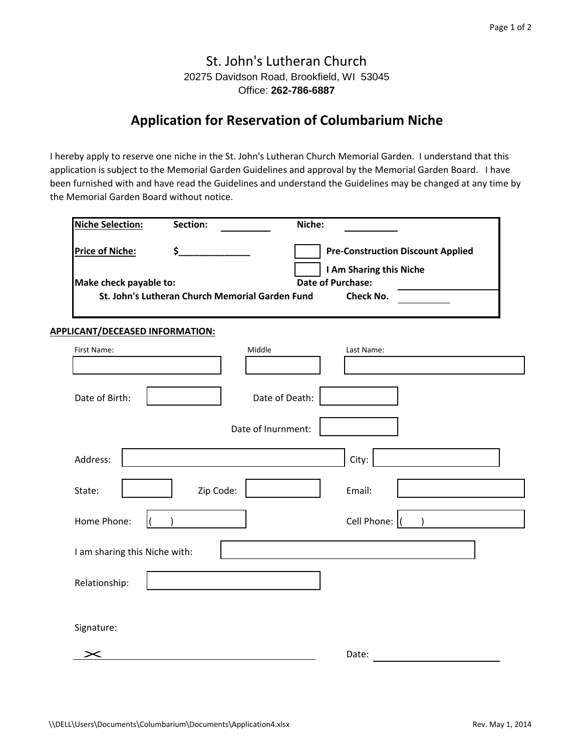## St. John's Lutheran Church 20275 Davidson Road, Brookfield, WI 53045 Office: **262-786-6887**

## **Application for Reservation of Columbarium Niche**

I hereby apply to reserve one niche in the St. John's Lutheran Church Memorial Garden. I understand that this application is subject to the Memorial Garden Guidelines and approval by the Memorial Garden Board. I have been furnished with and have read the Guidelines and understand the Guidelines may be changed at any time by the Memorial Garden Board without notice.

| <b>Niche Selection:</b> | Section:                                                                        | Niche:             |                                                                                                                     |
|-------------------------|---------------------------------------------------------------------------------|--------------------|---------------------------------------------------------------------------------------------------------------------|
| <b>Price of Niche:</b>  | \$<br>Make check payable to:<br>St. John's Lutheran Church Memorial Garden Fund |                    | <b>Pre-Construction Discount Applied</b><br>I Am Sharing this Niche<br><b>Date of Purchase:</b><br><b>Check No.</b> |
|                         | APPLICANT/DECEASED INFORMATION:                                                 |                    |                                                                                                                     |
| First Name:             |                                                                                 | Middle             | Last Name:                                                                                                          |
| Date of Birth:          |                                                                                 | Date of Death:     |                                                                                                                     |
|                         |                                                                                 | Date of Inurnment: |                                                                                                                     |
| Address:                |                                                                                 |                    | City:                                                                                                               |
| State:                  | Zip Code:                                                                       |                    | Email:                                                                                                              |
| Home Phone:             |                                                                                 |                    | Cell Phone:                                                                                                         |
|                         | I am sharing this Niche with:                                                   |                    |                                                                                                                     |
| Relationship:           |                                                                                 |                    |                                                                                                                     |
| Signature:              |                                                                                 |                    |                                                                                                                     |
|                         |                                                                                 |                    | Date:                                                                                                               |